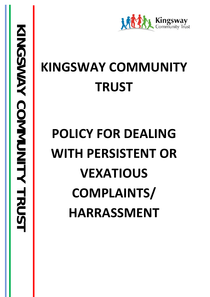# **KINGSWAY COMMUNITY TRUST**

# **POLICY FOR DEALING WITH PERSISTENT OR VEXATIOUS COMPLAINTS/ HARRASSMENT**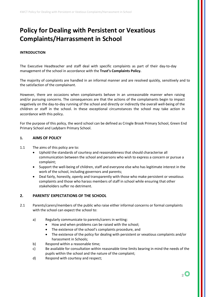# **Policy for Dealing with Persistent or Vexatious Complaints/Harrassment in School**

#### **INTRODUCTION**

The Executive Headteacher and staff deal with specific complaints as part of their day-to-day management of the school in accordance with the **Trust's Complaints Policy.**

The majority of complaints are handled in an informal manner and are resolved quickly, sensitively and to the satisfaction of the complainant.

However, there are occasions when complainants behave in an unreasonable manner when raising and/or pursuing concerns. The consequences are that the actions of the complainants begin to impact negatively on the day-to-day running of the school and directly or indirectly the overall well-being of the children or staff in the school. In these exceptional circumstances the school may take action in accordance with this policy.

For the purpose of this policy, the word school can be defined as Cringle Brook Primary School, Green End Primary School and Ladybarn Primary School.

#### **1. AIMS OF POLICY**

- 1.1 The aims of this policy are to:
	- Uphold the standards of courtesy and reasonableness that should characterise all communication between the school and persons who wish to express a concern or pursue a complaint;
	- Support the well-being of children, staff and everyone else who has legitimate interest in the work of the school, including governors and parents;
	- Deal fairly, honestly, openly and transparently with those who make persistent or vexatious complaints and those who harass members of staff in school while ensuring that other stakeholders suffer no detriment.

#### **2. PARENTS' EXPECTATIONS OF THE SCHOOL**

- 2.1 Parents/carers/members of the public who raise either informal concerns or formal complaints with the school can expect the school to:
	- a) Regularly communicate to parents/carers in writing:
		- How and when problems can be raised with the school;
		- The existence of the school's complaints procedure, and
		- The existence of the policy for dealing with persistent or vexatious complaints and/or harassment in Schools;
	- b) Respond within a reasonable time;
	- c) Be available for consultation within reasonable time limits bearing in mind the needs of the pupils within the school and the nature of the complaint;
	- d) Respond with courtesy and respect;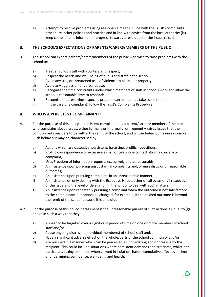e) Attempt to resolve problems using reasonable means in line with the Trust's complaints procedure, other policies and practice and in line with advice from the local authority (la) keep complainants informed of progress towards a resolution of the issues raised.

## **3. THE SCHOOL'S EXPECTATIONS OF PARENTS/CARERS/MEMBERS OF THE PUBLIC**

- 3.1 The school can expect parents/carers/members of the public who wish to raise problems with the school to:
	- a) Treat all school staff with courtesy and respect;
	- b) Respect the needs and well-being of pupils and staff in the school;
	- c) Avoid any use, or threatened use, of violence to people or property;
	- d) Avoid any aggression or verbal abuse;
	- e) Recognise the time constraints under which members of staff in schools work and allow the school a reasonable time to respond;
	- f) Recognise that resolving a specific problem can sometimes take some time;
	- g) (In the case of a complaint) follow the Trust's Complaints Procedure.

#### **4. WHO IS A PERSISTENT COMPLAINANT?**

- 4.1 For the purpose of this policy, a persistent complainant is a parent/carer or member of the public who complains about issues, either formally or informally, or frequently raises issues that the complainant considers to be within the remit of the school, and whose behaviour is unreasonable. Such behaviour may be characterised by:
	- a) Actions which are obsessive, persistent, harassing, prolific, repetitious;
	- b) Prolific correspondence or excessive e-mail or telephone contact about a concern or complaint;
	- c) Uses Freedom of Information requests excessively and unreasonably
	- d) An insistence upon pursuing unsubstantial complaints and/or unrealistic or unreasonable outcomes;
	- e) An insistence upon pursuing complaints in an unreasonable manner;
	- f) An insistence on only dealing with the Executive Headteacher on all occasions irrespective of the issue and the level of delegation in the school to deal with such matters;
	- g) An insistence upon repeatedly pursuing a complaint when the outcome is not satisfactory to the complainant but cannot be changed, for example, if the desired outcome is beyond the remit of the school because it is unlawful.
- 4.2 For the purpose of this policy, harassment is the unreasonable pursuit of such actions as in (a) to (g) above in such a way that they:
	- a) Appear to be targeted over a significant period of time on one or more members of school staff and/or
	- b) Cause ongoing distress to individual member(s) of school staff and/or
	- c) Have a significant adverse effect on the whole/parts of the school community and/or
	- d) Are pursued in a manner which can be perceived as intimidating and oppressive by the recipient. This could include situations where persistent demands and criticisms, whilst not particularly taxing or serious when viewed in isolation, have a cumulative effect over time of undermining confidence, well-being and health.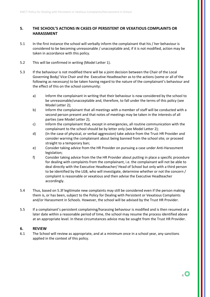### **5. THE SCHOOL'S ACTIONS IN CASES OF PERSISTENT OR VEXATIOUS COMPLAINTS OR HARASSMENT**

- 5.1 In the first instance the school will verbally inform the complainant that his / her behaviour is considered to be becoming unreasonable / unacceptable and, if it is not modified, action may be taken in accordance with this policy.
- 5.2 This will be confirmed in writing (Model Letter 1).
- 5.3 If the behaviour is not modified there will be a joint decision between the Chair of the Local Governing Body/ Vice Chair and the Executive Headteacher as to the actions (some or all of the following as necessary) to be taken having regard to the nature of the complainant's behaviour and the effect of this on the school community:
	- a) Inform the complainant in writing that their behaviour is now considered by the school to be unreasonable/unacceptable and, therefore, to fall under the terms of this policy (see Model Letter 2);
	- b) Inform the complainant that all meetings with a member of staff will be conducted with a second person present and that notes of meetings may be taken in the interests of all parties (see Model Letter 2);
	- c) Inform the complainant that, except in emergencies, all routine communication with the complainant to the school should be by letter only (see Model Letter 2);
	- d) (In the case of physical, or verbal aggression) take advice from the Trust HR Provider and consider warning the complainant about being banned from the school site; or proceed straight to a temporary ban;
	- e) Consider taking advice from the HR Provider on pursuing a case under Anti-Harassment legislation;
	- f) Consider taking advice from the the HR Provider about putting in place a specific procedure for dealing with complaints from the complainant, i.e. the complainant will not be able to deal directly with the Executive Headteacher/ Head of School but only with a third person to be identified by the LGB, who will investigate, determine whether or not the concern / complaint is reasonable or vexatious and then advise the Executive Headteacher accordingly.
- 5.4 Thus, based on 5.3f legitimate new complaints may still be considered even if the person making them is, or has been, subject to the Policy for Dealing with Persistent or Vexatious Complaints and/or Harassment in Schools. However, the school will be advised by the Trust HR Provider.
- 5.5 If a complainant's persistent complaining/harassing behaviour is modified and is then resumed at a later date within a reasonable period of time, the school may resume the process identified above at an appropriate level. In these circumstances advice may be sought from the Trust HR Provider.

#### **6. REVIEW**

6.1 The School will review as appropriate, and at a minimum once in a school year, any sanctions applied in the context of this policy.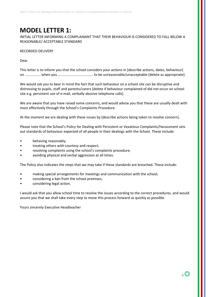## **MODEL LETTER 1:**

INITIAL LETTER INFORMING A COMPLAINANT THAT THEIR BEHAVIOUR IS CONSIDERED TO FALL BELOW A REASONABLE/ ACCEPTABLE STANDARD

RECORDED DELIVERY

Dear

This letter is to inform you that the school considers your actions in [describe actions, dates, behaviour] on ................ when you .................................... to be unreasonable/unacceptable [delete as appropriate].

We would ask you to bear in mind the fact that such behaviour on a school site can be disruptive and distressing to pupils, staff and parents/carers [delete if behaviour complained of did not occur on school site e.g. persistent use of e-mail, verbally abusive telephone calls].

We are aware that you have raised some concerns, and would advise you that these are usually dealt with most effectively through the School's Complaints Procedure.

At the moment we are dealing with these issues by [describe actions being taken to resolve concern].

Please note that the School's Policy for Dealing with Persistent or Vexatious Complaints/Harassment sets out standards of behaviour expected of all people in their dealings with the School. These include:

- behaving reasonably;
- treating others with courtesy and respect;
- resolving complaints using the school's complaints procedure;
- avoiding physical and verbal aggression at all times.

The Policy also indicates the steps that we may take if these standards are breached. These include:

- making special arrangements for meetings and communication with the school;
- considering a ban from the school premises;
- considering legal action.

I would ask that you allow school time to resolve the issues according to the correct procedures, and would assure you that we shall take every step to move this process forward as quickly as possible.

Yours sincerely Executive Headteacher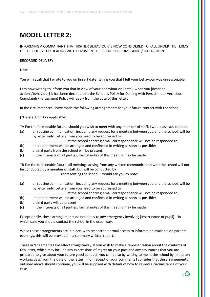# **MODEL LETTER 2:**

#### INFORMING A COMPAINANT THAT HIS/HER BEHAVIOUR IS NOW CONSIDERED TO FALL UNDER THE TERMS OF THE POLICY FOR DEALING WITH PERSISTENT OR VEXATIOUS COMPLAINTS/ HARASSMENT

#### RECORDED DELIVERY

Dear

You will recall that I wrote to you on [insert date] telling you that I felt your behaviour was unreasonable.

I am now writing to inform you that in view of your behaviour on [date], when you [describe actions/behaviour] it has been decided that the School's Policy for Dealing with Persistent or Vexatious Complaints/Harassment Policy will apply from the date of this letter.

In the circumstances I have made the following arrangements for your future contact with the school:

[\*Delete A or B as applicable]

\*A For the foreseeable future, should you wish to meet with any member of staff, I would ask you to note:

- (a) all routine communication, including any request for a meeting between you and the school, will be by letter only. Letters from you need to be addressed to
- ……………………………………………. at the school address; email correspondence will not be responded to;
- (b) an appointment will be arranged and confirmed in writing as soon as possible;
- (b) a third party from the school will be present;
- (c) in the interests of all parties, formal notes of this meeting may be made.

\*B For the foreseeable future, all meetings arising from any written communication with the school will not be conducted by a member of staff, but will be conducted by

……………………………………… representing the school. I would ask you to note:

- (a) all routine communication, including any request for a meeting between you and the school, will be by letter only. Letters from you need to be addressed to
- ……………………………………………. at the school address; email correspondence will not be responded to;
- (b) an appointment will be arranged and confirmed in writing as soon as possible;
- (b) a third party will be present;
- (c) in the interests of all parties, formal notes of this meeting may be made.

Exceptionally, these arrangements do not apply to any emergency involving [insert name of pupil] – in which case you should contact the school in the usual way.

While these arrangements are in place, with respect to normal access to information available on parents' evenings, this will be provided in a summary written report.

These arrangements take effect straightaway. If you wish to make a representation about the contents of this letter, which may include any expressions of regret on your part and any assurances that you are prepared to give about your future good conduct, you can do so by writing to me at the school by [state ten working days from the date of the letter]. If on receipt of your comments I consider that the arrangements outlined above should continue, you will be supplied with details of how to review a circumstance of your case.